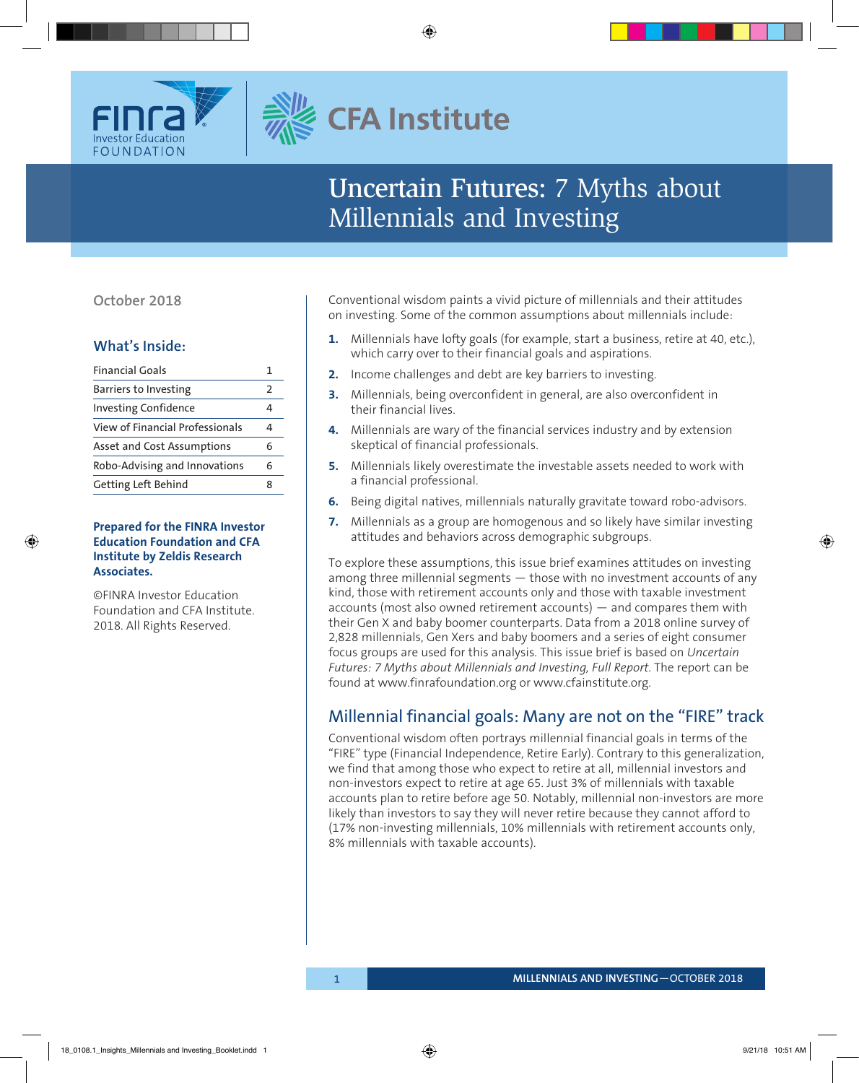

# **CFA Institute**

# Uncertain Futures: 7 Myths about Millennials and Investing

### **October 2018**

### **What's Inside:**

| <b>Financial Goals</b>          |               |
|---------------------------------|---------------|
| Barriers to Investing           | $\mathcal{P}$ |
| <b>Investing Confidence</b>     |               |
| View of Financial Professionals |               |
| Asset and Cost Assumptions      |               |
| Robo-Advising and Innovations   | ħ             |
| Getting Left Behind             |               |

### **Prepared for the FINRA Investor Education Foundation and CFA Institute by Zeldis Research Associates.**

©FINRA Investor Education Foundation and CFA Institute. 2018. All Rights Reserved.

Conventional wisdom paints a vivid picture of millennials and their attitudes on investing. Some of the common assumptions about millennials include:

- **1.** Millennials have lofty goals (for example, start a business, retire at 40, etc.), which carry over to their financial goals and aspirations.
- **2.** Income challenges and debt are key barriers to investing.
- **3.** Millennials, being overconfident in general, are also overconfident in their financial lives.
- **4.** Millennials are wary of the financial services industry and by extension skeptical of financial professionals.
- **5.** Millennials likely overestimate the investable assets needed to work with a financial professional.
- **6.** Being digital natives, millennials naturally gravitate toward robo-advisors.
- **7.** Millennials as a group are homogenous and so likely have similar investing attitudes and behaviors across demographic subgroups.

To explore these assumptions, this issue brief examines attitudes on investing among three millennial segments — those with no investment accounts of any kind, those with retirement accounts only and those with taxable investment accounts (most also owned retirement accounts) — and compares them with their Gen X and baby boomer counterparts. Data from a 2018 online survey of 2,828 millennials, Gen Xers and baby boomers and a series of eight consumer focus groups are used for this analysis. This issue brief is based on *Uncertain Futures: 7 Myths about Millennials and Investing, Full Report*. The report can be found at www.finrafoundation.org or www.cfainstitute.org.

### Millennial financial goals: Many are not on the "FIRE" track

Conventional wisdom often portrays millennial financial goals in terms of the "FIRE" type (Financial Independence, Retire Early). Contrary to this generalization, we find that among those who expect to retire at all, millennial investors and non-investors expect to retire at age 65. Just 3% of millennials with taxable accounts plan to retire before age 50. Notably, millennial non-investors are more likely than investors to say they will never retire because they cannot afford to (17% non-investing millennials, 10% millennials with retirement accounts only, 8% millennials with taxable accounts).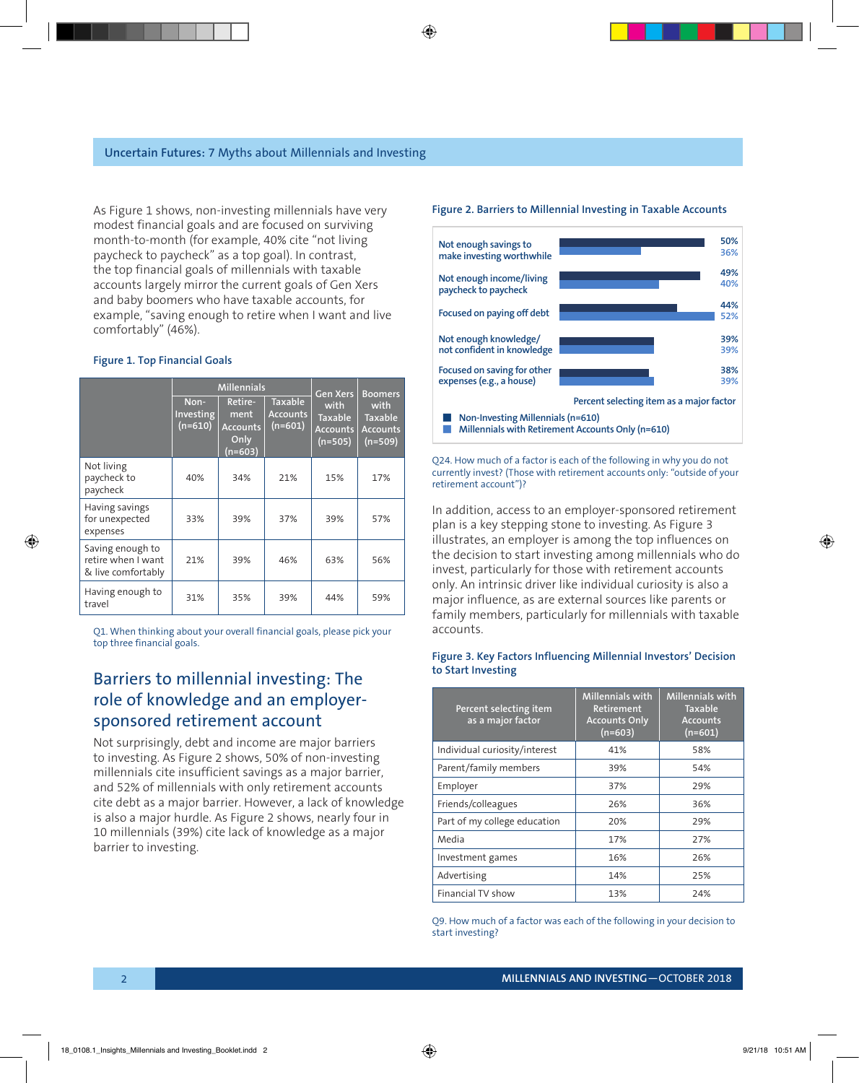As Figure 1 shows, non-investing millennials have very modest financial goals and are focused on surviving month-to-month (for example, 40% cite "not living paycheck to paycheck" as a top goal). In contrast, the top financial goals of millennials with taxable accounts largely mirror the current goals of Gen Xers and baby boomers who have taxable accounts, for example, "saving enough to retire when I want and live comfortably" (46%).

#### **Figure 1. Top Financial Goals**

|                                                              | <b>Millennials</b>                    |                                                         |                                                | Gen Xers                                               | <b>Boomers</b>                                         |
|--------------------------------------------------------------|---------------------------------------|---------------------------------------------------------|------------------------------------------------|--------------------------------------------------------|--------------------------------------------------------|
|                                                              | Non-<br><b>Investing</b><br>$(n=610)$ | Retire-<br>ment<br><b>Accounts</b><br>Only<br>$(n=603)$ | <b>Taxable</b><br><b>Accounts</b><br>$(n=601)$ | with<br><b>Taxable</b><br><b>Accounts</b><br>$(n=505)$ | with<br><b>Taxable</b><br><b>Accounts</b><br>$(n=509)$ |
| Not living<br>paycheck to<br>paycheck                        | 40%                                   | 34%                                                     | 21%                                            | 15%                                                    | 17%                                                    |
| Having savings<br>for unexpected<br>expenses                 | 33%                                   | 39%                                                     | 37%                                            | 39%                                                    | 57%                                                    |
| Saving enough to<br>retire when I want<br>& live comfortably | 21%                                   | 39%                                                     | 46%                                            | 63%                                                    | 56%                                                    |
| Having enough to<br>travel                                   | 31%                                   | 35%                                                     | 39%                                            | 44%                                                    | 59%                                                    |

Q1. When thinking about your overall financial goals, please pick your top three financial goals.

### Barriers to millennial investing: The role of knowledge and an employersponsored retirement account

Not surprisingly, debt and income are major barriers to investing. As Figure 2 shows, 50% of non-investing millennials cite insufficient savings as a major barrier, and 52% of millennials with only retirement accounts cite debt as a major barrier. However, a lack of knowledge is also a major hurdle. As Figure 2 shows, nearly four in 10 millennials (39%) cite lack of knowledge as a major barrier to investing.

#### **Figure 2. Barriers to Millennial Investing in Taxable Accounts**



Q24. How much of a factor is each of the following in why you do not currently invest? (Those with retirement accounts only: "outside of your retirement account")?

In addition, access to an employer-sponsored retirement plan is a key stepping stone to investing. As Figure 3 illustrates, an employer is among the top influences on the decision to start investing among millennials who do invest, particularly for those with retirement accounts only. An intrinsic driver like individual curiosity is also a major influence, as are external sources like parents or family members, particularly for millennials with taxable accounts.

#### **Figure 3. Key Factors Influencing Millennial Investors' Decision to Start Investing**

| Percent selecting item<br>as a major factor | <b>Millennials with</b><br><b>Retirement</b><br><b>Accounts Only</b><br>$(n=603)$ | Millennials with<br><b>Taxable</b><br><b>Accounts</b><br>$(n=601)$ |
|---------------------------------------------|-----------------------------------------------------------------------------------|--------------------------------------------------------------------|
| Individual curiosity/interest               | 41%                                                                               | 58%                                                                |
| Parent/family members                       | 39%                                                                               | 54%                                                                |
| Employer                                    | 37%                                                                               | 29%                                                                |
| Friends/colleagues                          | 26%                                                                               | 36%                                                                |
| Part of my college education                | 20%                                                                               | 29%                                                                |
| Media                                       | 17%                                                                               | 27%                                                                |
| Investment games                            | 16%                                                                               | 26%                                                                |
| Advertising                                 | 14%                                                                               | 25%                                                                |
| Financial TV show                           | 13%                                                                               | 24%                                                                |

Q9. How much of a factor was each of the following in your decision to start investing?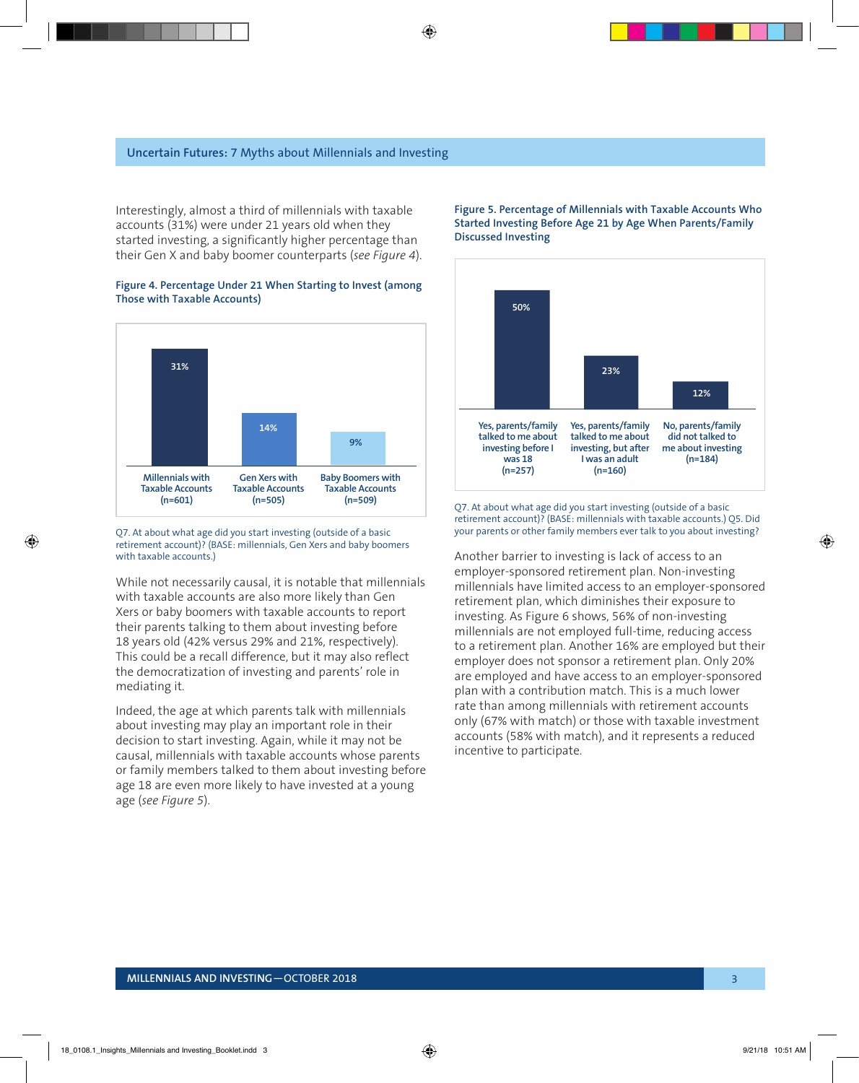Interestingly, almost a third of millennials with taxable accounts (31%) were under 21 years old when they started investing, a significantly higher percentage than their Gen X and baby boomer counterparts (*see Figure 4*).





Q7. At about what age did you start investing (outside of a basic retirement account)? (BASE: millennials, Gen Xers and baby boomers with taxable accounts.)

While not necessarily causal, it is notable that millennials with taxable accounts are also more likely than Gen Xers or baby boomers with taxable accounts to report their parents talking to them about investing before 18 years old (42% versus 29% and 21%, respectively). This could be a recall difference, but it may also reflect the democratization of investing and parents' role in mediating it.

Indeed, the age at which parents talk with millennials about investing may play an important role in their decision to start investing. Again, while it may not be causal, millennials with taxable accounts whose parents or family members talked to them about investing before age 18 are even more likely to have invested at a young age (*see Figure 5*).

#### **Figure 5. Percentage of Millennials with Taxable Accounts Who Started Investing Before Age 21 by Age When Parents/Family Discussed Investing**



Q7. At about what age did you start investing (outside of a basic retirement account)? (BASE: millennials with taxable accounts.) Q5. Did your parents or other family members ever talk to you about investing?

Another barrier to investing is lack of access to an employer-sponsored retirement plan. Non-investing millennials have limited access to an employer-sponsored retirement plan, which diminishes their exposure to investing. As Figure 6 shows, 56% of non-investing millennials are not employed full-time, reducing access to a retirement plan. Another 16% are employed but their employer does not sponsor a retirement plan. Only 20% are employed and have access to an employer-sponsored plan with a contribution match. This is a much lower rate than among millennials with retirement accounts only (67% with match) or those with taxable investment accounts (58% with match), and it represents a reduced incentive to participate.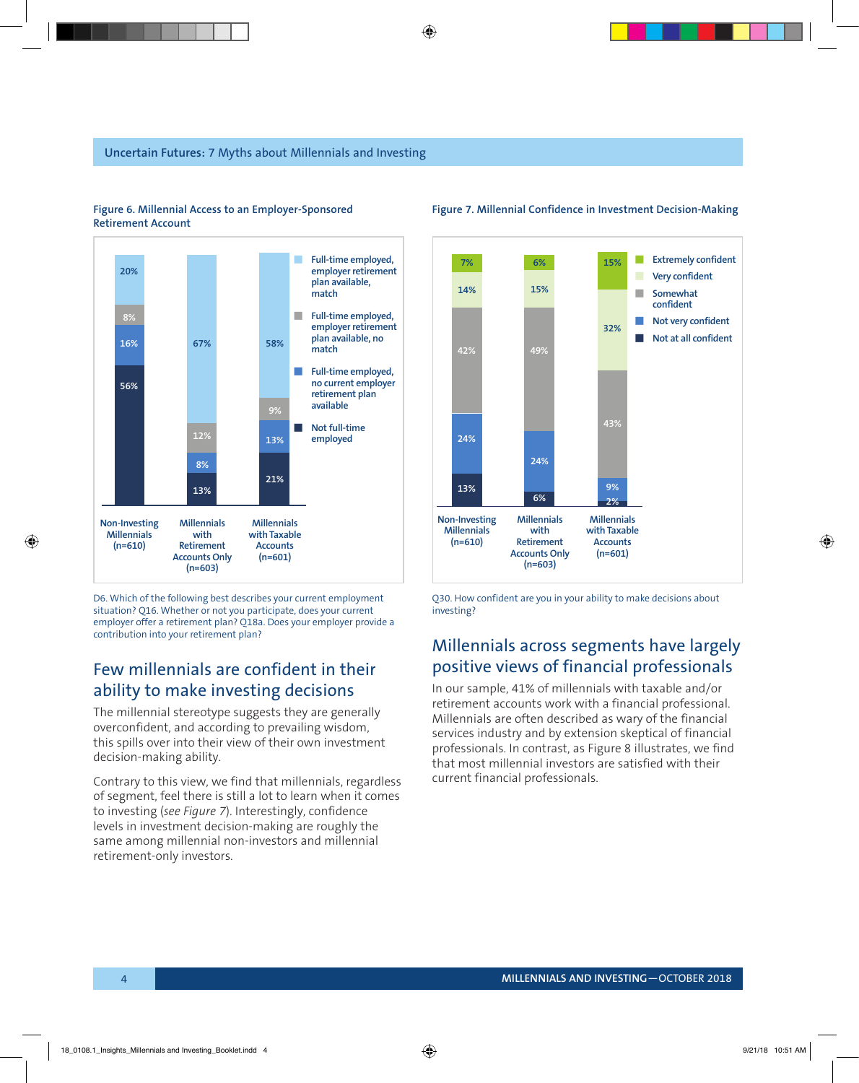

### **Figure 6. Millennial Access to an Employer-Sponsored Retirement Account**

D6. Which of the following best describes your current employment situation? Q16. Whether or not you participate, does your current employer offer a retirement plan? Q18a. Does your employer provide a contribution into your retirement plan?

### Few millennials are confident in their ability to make investing decisions

The millennial stereotype suggests they are generally overconfident, and according to prevailing wisdom, this spills over into their view of their own investment decision-making ability.

Contrary to this view, we find that millennials, regardless of segment, feel there is still a lot to learn when it comes to investing (*see Figure 7*). Interestingly, confidence levels in investment decision-making are roughly the same among millennial non-investors and millennial retirement-only investors.



#### **Figure 7. Millennial Confidence in Investment Decision-Making**

Q30. How confident are you in your ability to make decisions about investing?

### Millennials across segments have largely positive views of financial professionals

In our sample, 41% of millennials with taxable and/or retirement accounts work with a financial professional. Millennials are often described as wary of the financial services industry and by extension skeptical of financial professionals. In contrast, as Figure 8 illustrates, we find that most millennial investors are satisfied with their current financial professionals.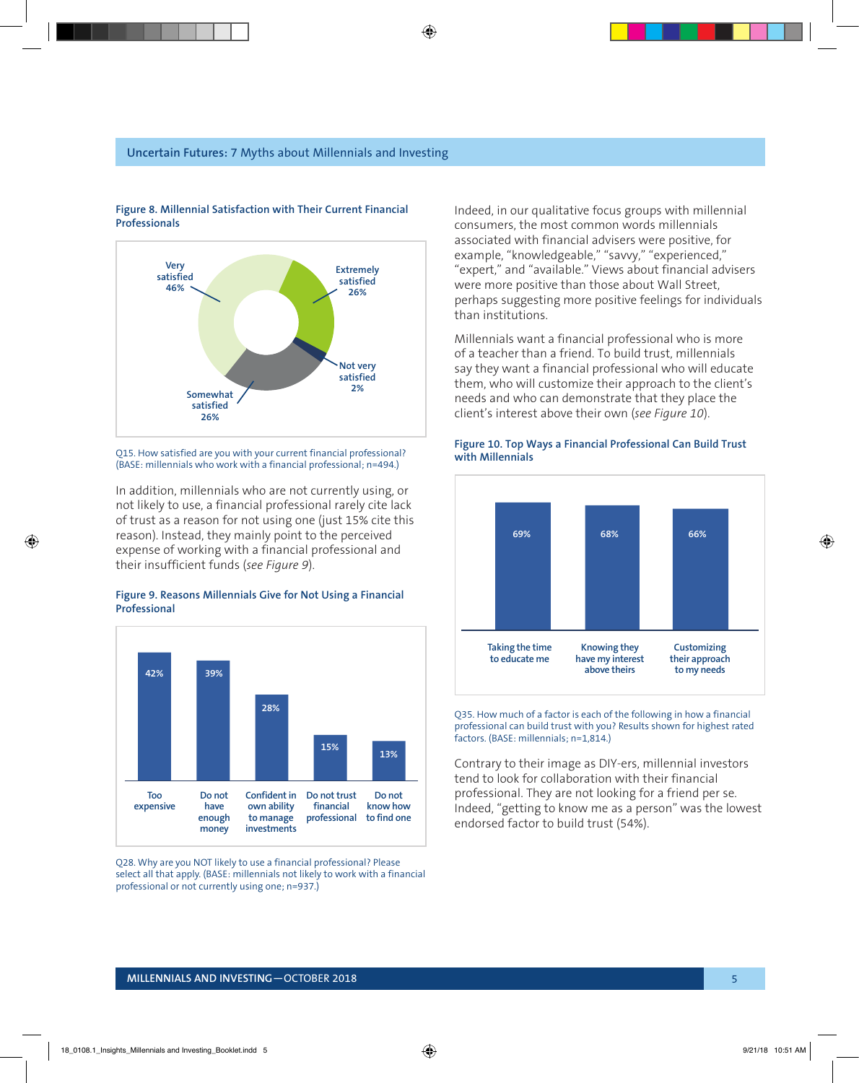### **Uncertain Futures:** 7 Myths about Millennials and Investing



#### **Figure 8. Millennial Satisfaction with Their Current Financial Professionals**

Q15. How satisfied are you with your current financial professional? (BASE: millennials who work with a financial professional; n=494.)

In addition, millennials who are not currently using, or not likely to use, a financial professional rarely cite lack of trust as a reason for not using one (just 15% cite this reason). Instead, they mainly point to the perceived expense of working with a financial professional and their insufficient funds (*see Figure 9*).

#### **Figure 9. Reasons Millennials Give for Not Using a Financial Professional**



Q28. Why are you NOT likely to use a financial professional? Please select all that apply. (BASE: millennials not likely to work with a financial professional or not currently using one; n=937.)

Indeed, in our qualitative focus groups with millennial consumers, the most common words millennials associated with financial advisers were positive, for example, "knowledgeable," "savvy," "experienced," "expert," and "available." Views about financial advisers were more positive than those about Wall Street, perhaps suggesting more positive feelings for individuals than institutions.

Millennials want a financial professional who is more of a teacher than a friend. To build trust, millennials say they want a financial professional who will educate them, who will customize their approach to the client's needs and who can demonstrate that they place the client's interest above their own (*see Figure 10*).



## **Figure 10. Top Ways a Financial Professional Can Build Trust**

Q35. How much of a factor is each of the following in how a financial professional can build trust with you? Results shown for highest rated factors. (BASE: millennials; n=1,814.)

Contrary to their image as DIY-ers, millennial investors tend to look for collaboration with their financial professional. They are not looking for a friend per se. Indeed, "getting to know me as a person" was the lowest endorsed factor to build trust (54%).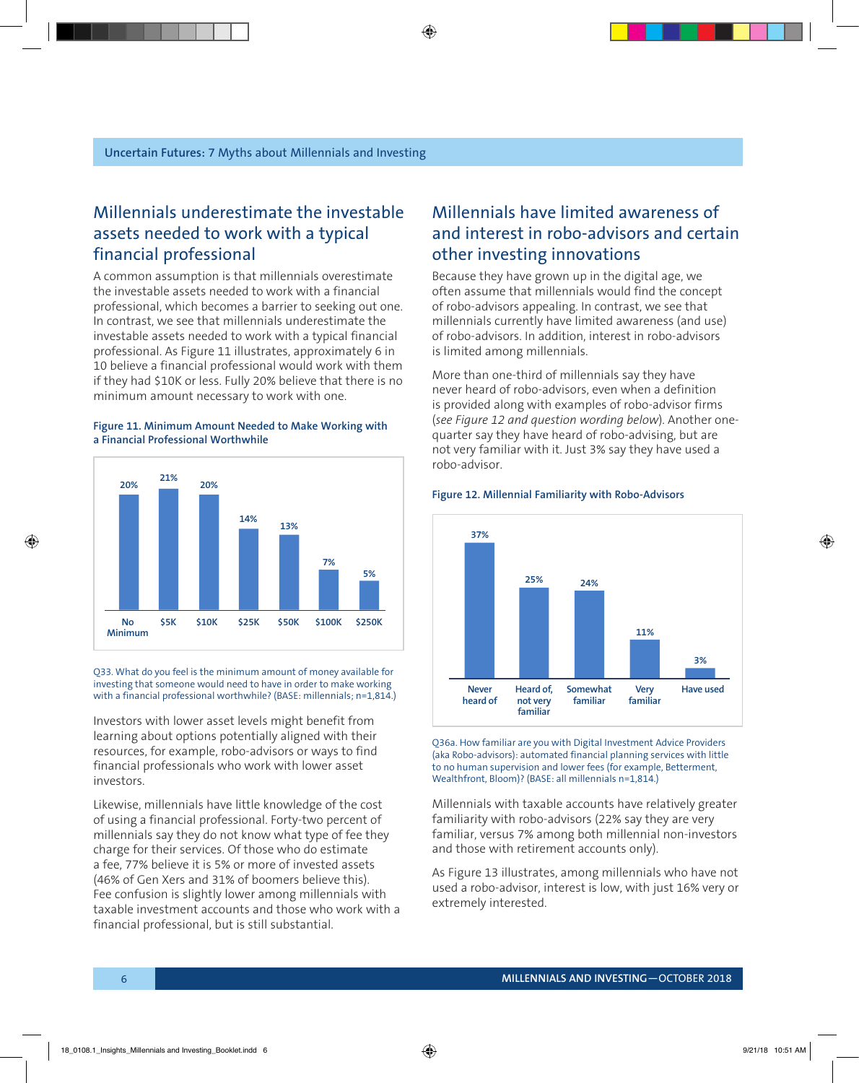### Millennials underestimate the investable assets needed to work with a typical financial professional

A common assumption is that millennials overestimate the investable assets needed to work with a financial professional, which becomes a barrier to seeking out one. In contrast, we see that millennials underestimate the investable assets needed to work with a typical financial professional. As Figure 11 illustrates, approximately 6 in 10 believe a financial professional would work with them if they had \$10K or less. Fully 20% believe that there is no minimum amount necessary to work with one.

### **Figure 11. Minimum Amount Needed to Make Working with a Financial Professional Worthwhile**



Q33. What do you feel is the minimum amount of money available for investing that someone would need to have in order to make working with a financial professional worthwhile? (BASE: millennials; n=1,814.)

Investors with lower asset levels might benefit from learning about options potentially aligned with their resources, for example, robo-advisors or ways to find financial professionals who work with lower asset investors.

Likewise, millennials have little knowledge of the cost of using a financial professional. Forty-two percent of millennials say they do not know what type of fee they charge for their services. Of those who do estimate a fee, 77% believe it is 5% or more of invested assets (46% of Gen Xers and 31% of boomers believe this). Fee confusion is slightly lower among millennials with taxable investment accounts and those who work with a financial professional, but is still substantial.

### Millennials have limited awareness of and interest in robo-advisors and certain other investing innovations

Because they have grown up in the digital age, we often assume that millennials would find the concept of robo-advisors appealing. In contrast, we see that millennials currently have limited awareness (and use) of robo-advisors. In addition, interest in robo-advisors is limited among millennials.

More than one-third of millennials say they have never heard of robo-advisors, even when a definition is provided along with examples of robo-advisor firms (*see Figure 12 and question wording below*). Another onequarter say they have heard of robo-advising, but are not very familiar with it. Just 3% say they have used a robo-advisor.



#### **Figure 12. Millennial Familiarity with Robo-Advisors**

Q36a. How familiar are you with Digital Investment Advice Providers (aka Robo-advisors): automated financial planning services with little to no human supervision and lower fees (for example, Betterment, Wealthfront, Bloom)? (BASE: all millennials n=1,814.)

Millennials with taxable accounts have relatively greater familiarity with robo-advisors (22% say they are very familiar, versus 7% among both millennial non-investors and those with retirement accounts only).

As Figure 13 illustrates, among millennials who have not used a robo-advisor, interest is low, with just 16% very or extremely interested.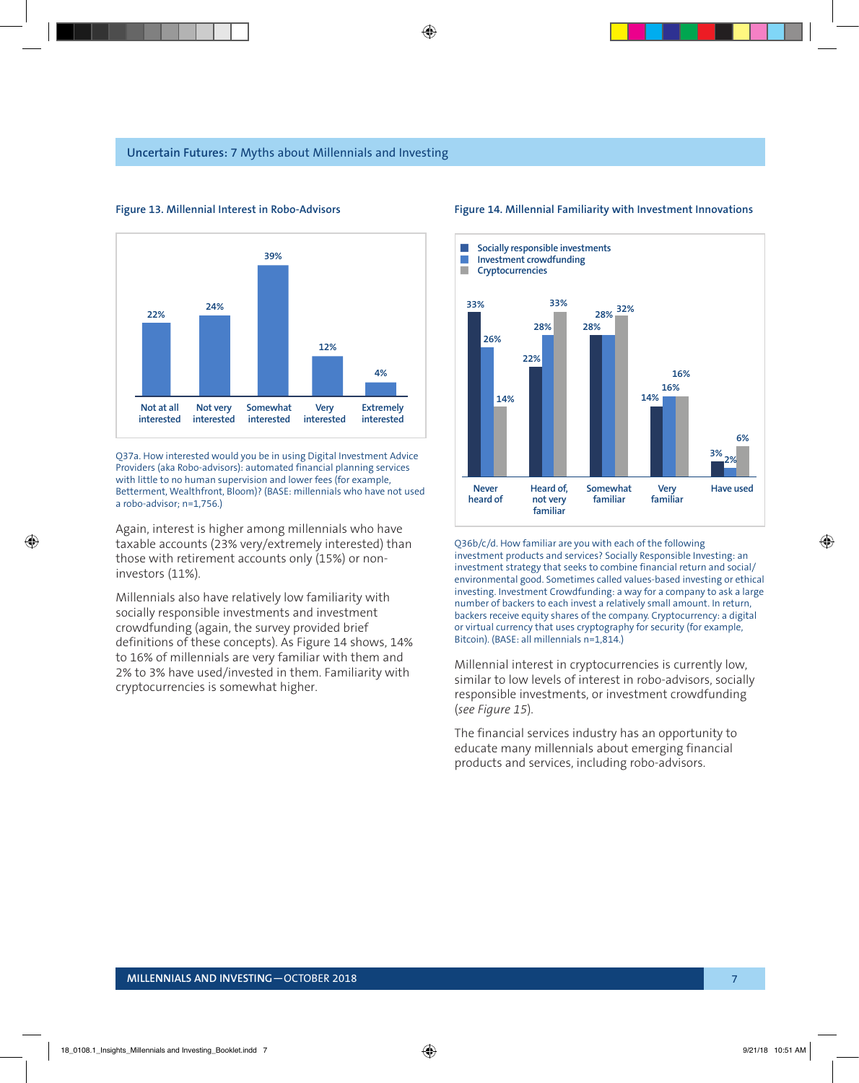

#### **Figure 13. Millennial Interest in Robo-Advisors**

Q37a. How interested would you be in using Digital Investment Advice Providers (aka Robo-advisors): automated financial planning services with little to no human supervision and lower fees (for example, Betterment, Wealthfront, Bloom)? (BASE: millennials who have not used a robo-advisor; n=1,756.)

Again, interest is higher among millennials who have taxable accounts (23% very/extremely interested) than those with retirement accounts only (15%) or noninvestors (11%).

Millennials also have relatively low familiarity with socially responsible investments and investment crowdfunding (again, the survey provided brief definitions of these concepts). As Figure 14 shows, 14% to 16% of millennials are very familiar with them and 2% to 3% have used/invested in them. Familiarity with cryptocurrencies is somewhat higher.



### **Figure 14. Millennial Familiarity with Investment Innovations**

Q36b/c/d. How familiar are you with each of the following investment products and services? Socially Responsible Investing: an investment strategy that seeks to combine financial return and social/ environmental good. Sometimes called values-based investing or ethical investing. Investment Crowdfunding: a way for a company to ask a large number of backers to each invest a relatively small amount. In return, backers receive equity shares of the company. Cryptocurrency: a digital or virtual currency that uses cryptography for security (for example, Bitcoin). (BASE: all millennials n=1,814.)

Millennial interest in cryptocurrencies is currently low, similar to low levels of interest in robo-advisors, socially responsible investments, or investment crowdfunding (*see Figure 15*).

The financial services industry has an opportunity to educate many millennials about emerging financial products and services, including robo-advisors.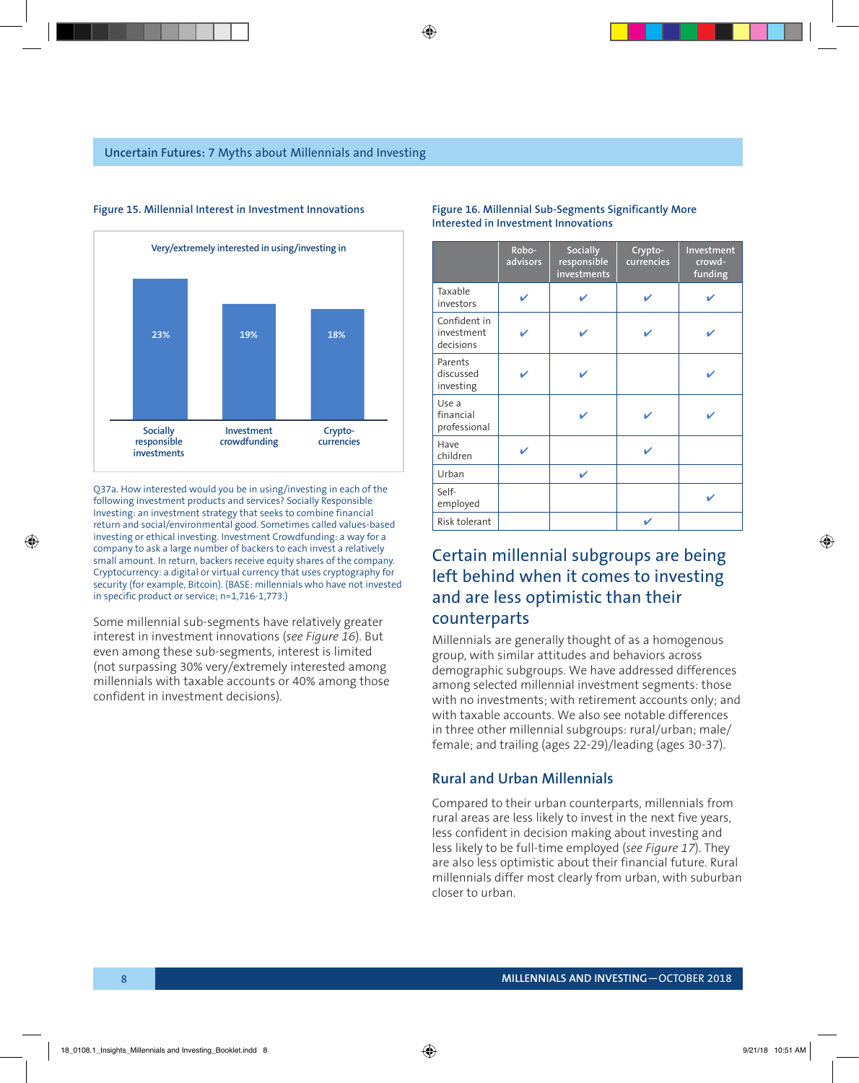

#### **Figure 15. Millennial Interest in Investment Innovations Figure 16. Millennial Sub-Segments Significantly More**

Q37a. How interested would you be in using/investing in each of the following investment products and services? Socially Responsible Investing: an investment strategy that seeks to combine financial return and social/environmental good. Sometimes called values-based investing or ethical investing. Investment Crowdfunding: a way for a company to ask a large number of backers to each invest a relatively small amount. In return, backers receive equity shares of the company. Cryptocurrency: a digital or virtual currency that uses cryptography for security (for example, Bitcoin). (BASE: millennials who have not invested in specific product or service; n=1,716-1,773.)

Some millennial sub-segments have relatively greater interest in investment innovations (*see Figure 16*). But even among these sub-segments, interest is limited (not surpassing 30% very/extremely interested among millennials with taxable accounts or 40% among those confident in investment decisions).

|                                         | Robo-<br>advisors | Socially<br>responsible<br>investments | Crypto-<br>currencies | Investment<br>crowd-<br>funding |
|-----------------------------------------|-------------------|----------------------------------------|-----------------------|---------------------------------|
| Taxable<br>investors                    | ✓                 | ✓                                      | ✓                     |                                 |
| Confident in<br>investment<br>decisions |                   |                                        | ✔                     |                                 |
| Parents<br>discussed<br>investing       |                   |                                        |                       |                                 |
| Use a<br>financial<br>professional      |                   |                                        | ✔                     |                                 |
| Have<br>children                        |                   |                                        | ✓                     |                                 |
| Urban                                   |                   | ✓                                      |                       |                                 |
| Self-<br>employed                       |                   |                                        |                       |                                 |
| Risk tolerant                           |                   |                                        | ✔                     |                                 |

### **Interested in Investment Innovations**

### Certain millennial subgroups are being left behind when it comes to investing and are less optimistic than their counterparts

Millennials are generally thought of as a homogenous group, with similar attitudes and behaviors across demographic subgroups. We have addressed differences among selected millennial investment segments: those with no investments; with retirement accounts only; and with taxable accounts. We also see notable differences in three other millennial subgroups: rural/urban; male/ female; and trailing (ages 22-29)/leading (ages 30-37).

### **Rural and Urban Millennials**

Compared to their urban counterparts, millennials from rural areas are less likely to invest in the next five years, less confident in decision making about investing and less likely to be full-time employed (*see Figure 17*). They are also less optimistic about their financial future. Rural millennials differ most clearly from urban, with suburban closer to urban.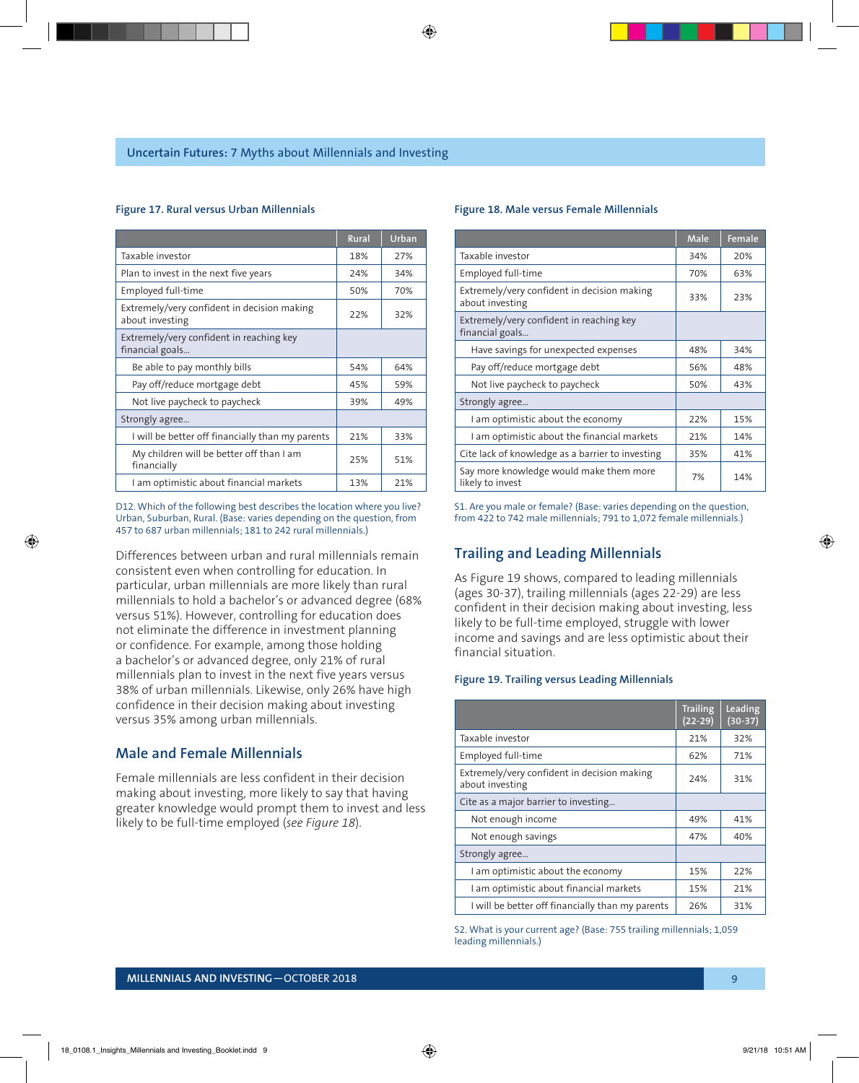#### **Figure 17. Rural versus Urban Millennials**

|                                                                | <b>Rural</b> | Urban |
|----------------------------------------------------------------|--------------|-------|
| Taxable investor                                               | 18%          | 27%   |
| Plan to invest in the next five years                          | 24%          | 34%   |
| Employed full-time                                             | 50%          | 70%   |
| Extremely/very confident in decision making<br>about investing | 22%          | 32%   |
| Extremely/very confident in reaching key<br>financial goals    |              |       |
| Be able to pay monthly bills                                   | 54%          | 64%   |
| Pay off/reduce mortgage debt                                   | 45%          | 59%   |
| Not live paycheck to paycheck                                  | 39%          | 49%   |
| Strongly agree                                                 |              |       |
| I will be better off financially than my parents               | 21%          | 33%   |
| My children will be better off than I am<br>financially        | 25%          | 51%   |
| I am optimistic about financial markets                        | 13%          | 21%   |

D12. Which of the following best describes the location where you live? Urban, Suburban, Rural. (Base: varies depending on the question, from 457 to 687 urban millennials; 181 to 242 rural millennials.)

Differences between urban and rural millennials remain consistent even when controlling for education. In particular, urban millennials are more likely than rural millennials to hold a bachelor's or advanced degree (68% versus 51%). However, controlling for education does not eliminate the difference in investment planning or confidence. For example, among those holding a bachelor's or advanced degree, only 21% of rural millennials plan to invest in the next five years versus 38% of urban millennials. Likewise, only 26% have high confidence in their decision making about investing versus 35% among urban millennials.

### **Male and Female Millennials**

Female millennials are less confident in their decision making about investing, more likely to say that having greater knowledge would prompt them to invest and less likely to be full-time employed (*see Figure 18*).

#### **Figure 18. Male versus Female Millennials**

|                                                                | Male | Female |
|----------------------------------------------------------------|------|--------|
| Taxable investor                                               | 34%  | 20%    |
| Employed full-time                                             | 70%  | 63%    |
| Extremely/very confident in decision making<br>about investing | 33%  | 23%    |
| Extremely/very confident in reaching key<br>financial goals    |      |        |
| Have savings for unexpected expenses                           | 48%  | 34%    |
| Pay off/reduce mortgage debt                                   | 56%  | 48%    |
| Not live paycheck to paycheck                                  | 50%  | 43%    |
| Strongly agree                                                 |      |        |
| I am optimistic about the economy                              | 22%  | 15%    |
| I am optimistic about the financial markets                    | 21%  | 14%    |
| Cite lack of knowledge as a barrier to investing               | 35%  | 41%    |
| Say more knowledge would make them more<br>likely to invest    | 7%   | 14%    |

S1. Are you male or female? (Base: varies depending on the question, from 422 to 742 male millennials; 791 to 1,072 female millennials.)

### **Trailing and Leading Millennials**

As Figure 19 shows, compared to leading millennials (ages 30-37), trailing millennials (ages 22-29) are less confident in their decision making about investing, less likely to be full-time employed, struggle with lower income and savings and are less optimistic about their financial situation.

#### **Figure 19. Trailing versus Leading Millennials**

|                                                                | <b>Trailing</b><br>$(22-29)$ | Leading<br>$(30-37)$ |
|----------------------------------------------------------------|------------------------------|----------------------|
| Taxable investor                                               | 21%                          | 32%                  |
| Employed full-time                                             | 62%                          | 71%                  |
| Extremely/very confident in decision making<br>about investing | 24%                          | 31%                  |
| Cite as a major barrier to investing                           |                              |                      |
| Not enough income                                              | 49%                          | 41%                  |
| Not enough savings                                             | 47%                          | 40%                  |
| Strongly agree                                                 |                              |                      |
| I am optimistic about the economy                              | 15%                          | 22%                  |
| I am optimistic about financial markets                        | 15%                          | 21%                  |
| I will be better off financially than my parents               | 26%                          | 31%                  |

S2. What is your current age? (Base: 755 trailing millennials; 1,059 leading millennials.)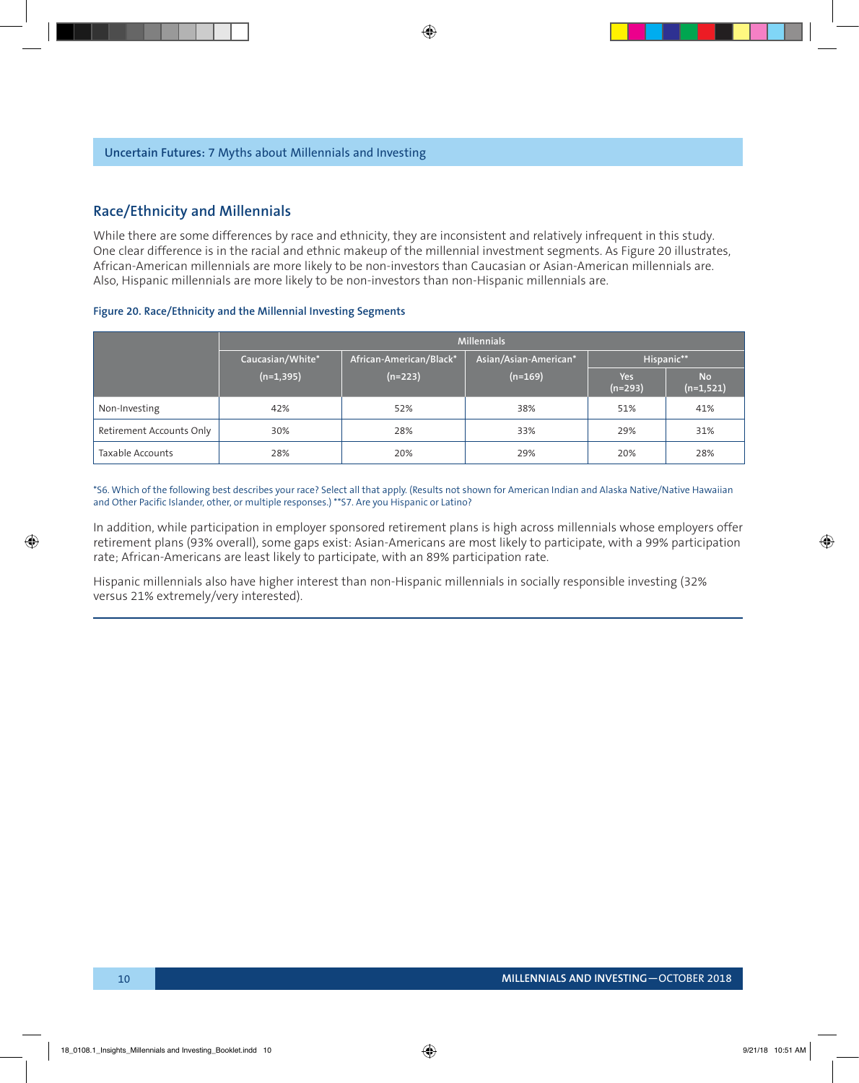### **Race/Ethnicity and Millennials**

While there are some differences by race and ethnicity, they are inconsistent and relatively infrequent in this study. One clear difference is in the racial and ethnic makeup of the millennial investment segments. As Figure 20 illustrates, African-American millennials are more likely to be non-investors than Caucasian or Asian-American millennials are. Also, Hispanic millennials are more likely to be non-investors than non-Hispanic millennials are.

#### **Figure 20. Race/Ethnicity and the Millennial Investing Segments**

|                          | <b>Millennials</b> |                         |                       |                  |                          |
|--------------------------|--------------------|-------------------------|-----------------------|------------------|--------------------------|
|                          | Caucasian/White*   | African-American/Black* | Asian/Asian-American* | Hispanic**       |                          |
|                          | $(n=1, 395)$       | $(n=223)$               | $(n=169)$             | Yes<br>$(n=293)$ | <b>No</b><br>$(n=1,521)$ |
| Non-Investing            | 42%                | 52%                     | 38%                   | 51%              | 41%                      |
| Retirement Accounts Only | 30%                | 28%                     | 33%                   | 29%              | 31%                      |
| Taxable Accounts         | 28%                | 20%                     | 29%                   | 20%              | 28%                      |

\*S6. Which of the following best describes your race? Select all that apply. (Results not shown for American Indian and Alaska Native/Native Hawaiian and Other Pacific Islander, other, or multiple responses.) \*\*S7. Are you Hispanic or Latino?

In addition, while participation in employer sponsored retirement plans is high across millennials whose employers offer retirement plans (93% overall), some gaps exist: Asian-Americans are most likely to participate, with a 99% participation rate; African-Americans are least likely to participate, with an 89% participation rate.

Hispanic millennials also have higher interest than non-Hispanic millennials in socially responsible investing (32% versus 21% extremely/very interested).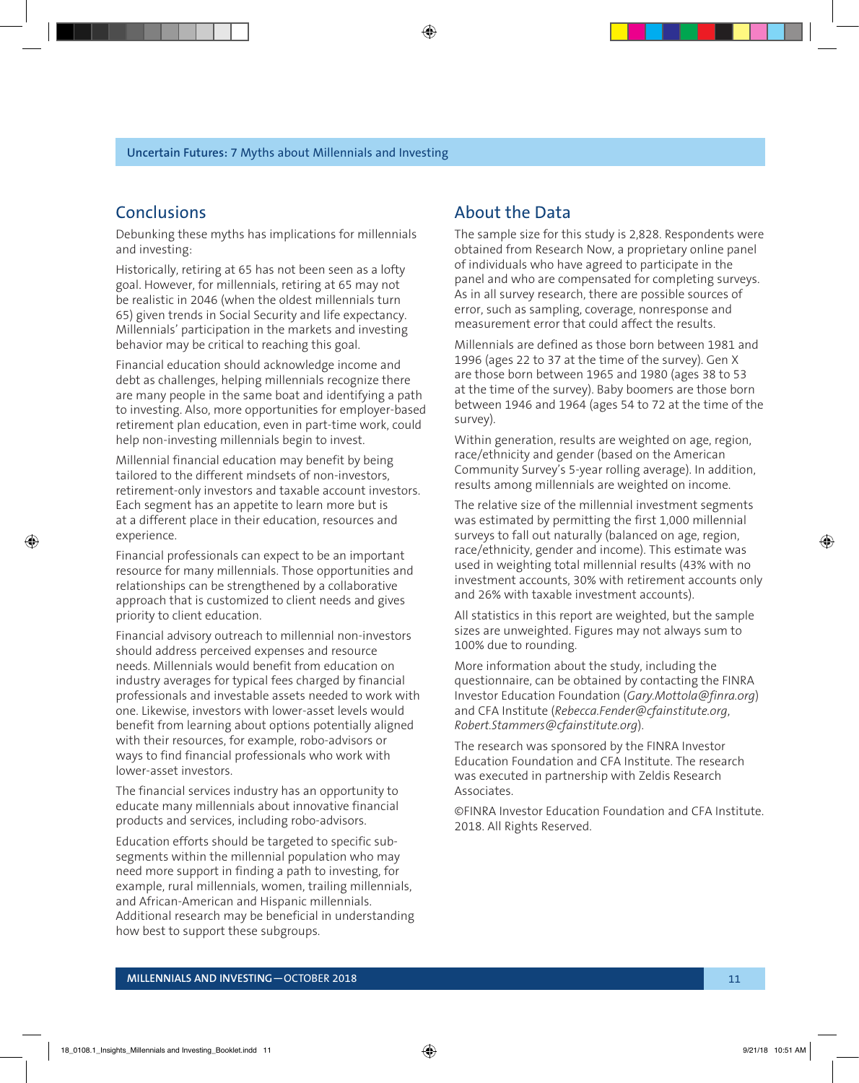### **Conclusions**

Debunking these myths has implications for millennials and investing:

Historically, retiring at 65 has not been seen as a lofty goal. However, for millennials, retiring at 65 may not be realistic in 2046 (when the oldest millennials turn 65) given trends in Social Security and life expectancy. Millennials' participation in the markets and investing behavior may be critical to reaching this goal.

Financial education should acknowledge income and debt as challenges, helping millennials recognize there are many people in the same boat and identifying a path to investing. Also, more opportunities for employer-based retirement plan education, even in part-time work, could help non-investing millennials begin to invest.

Millennial financial education may benefit by being tailored to the different mindsets of non-investors, retirement-only investors and taxable account investors. Each segment has an appetite to learn more but is at a different place in their education, resources and experience.

Financial professionals can expect to be an important resource for many millennials. Those opportunities and relationships can be strengthened by a collaborative approach that is customized to client needs and gives priority to client education.

Financial advisory outreach to millennial non-investors should address perceived expenses and resource needs. Millennials would benefit from education on industry averages for typical fees charged by financial professionals and investable assets needed to work with one. Likewise, investors with lower-asset levels would benefit from learning about options potentially aligned with their resources, for example, robo-advisors or ways to find financial professionals who work with lower-asset investors.

The financial services industry has an opportunity to educate many millennials about innovative financial products and services, including robo-advisors.

Education efforts should be targeted to specific subsegments within the millennial population who may need more support in finding a path to investing, for example, rural millennials, women, trailing millennials, and African-American and Hispanic millennials. Additional research may be beneficial in understanding how best to support these subgroups.

### About the Data

The sample size for this study is 2,828. Respondents were obtained from Research Now, a proprietary online panel of individuals who have agreed to participate in the panel and who are compensated for completing surveys. As in all survey research, there are possible sources of error, such as sampling, coverage, nonresponse and measurement error that could affect the results.

Millennials are defined as those born between 1981 and 1996 (ages 22 to 37 at the time of the survey). Gen X are those born between 1965 and 1980 (ages 38 to 53 at the time of the survey). Baby boomers are those born between 1946 and 1964 (ages 54 to 72 at the time of the survey).

Within generation, results are weighted on age, region, race/ethnicity and gender (based on the American Community Survey's 5-year rolling average). In addition, results among millennials are weighted on income.

The relative size of the millennial investment segments was estimated by permitting the first 1,000 millennial surveys to fall out naturally (balanced on age, region, race/ethnicity, gender and income). This estimate was used in weighting total millennial results (43% with no investment accounts, 30% with retirement accounts only and 26% with taxable investment accounts).

All statistics in this report are weighted, but the sample sizes are unweighted. Figures may not always sum to 100% due to rounding.

More information about the study, including the questionnaire, can be obtained by contacting the FINRA Investor Education Foundation (*Gary.Mottola@finra.org*) and CFA Institute (*Rebecca.Fender@cfainstitute.org*, *Robert.Stammers@cfainstitute.org*).

The research was sponsored by the FINRA Investor Education Foundation and CFA Institute. The research was executed in partnership with Zeldis Research Associates.

©FINRA Investor Education Foundation and CFA Institute. 2018. All Rights Reserved.